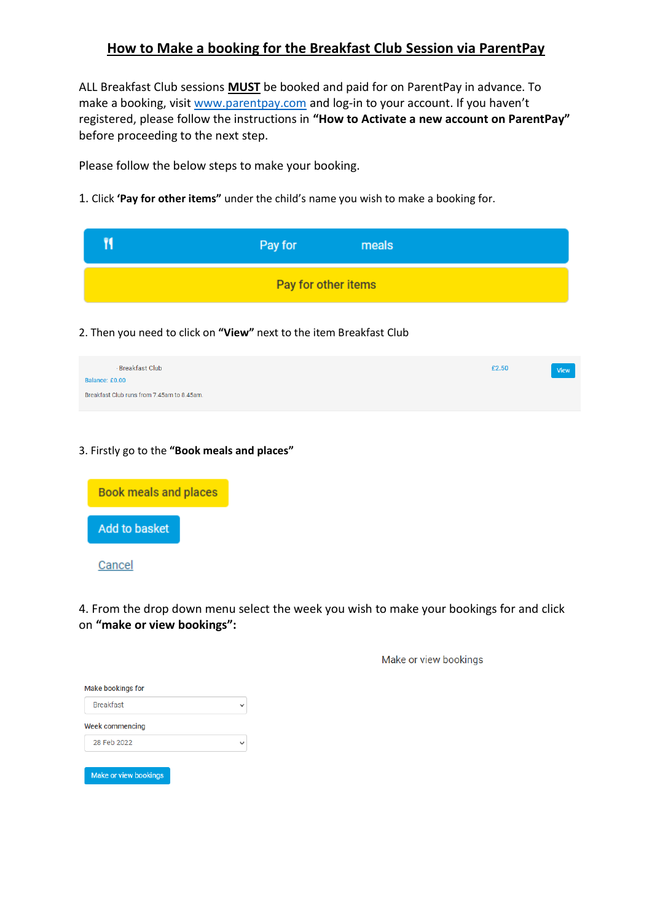## **How to Make a booking for the Breakfast Club Session via ParentPay**

ALL Breakfast Club sessions **MUST** be booked and paid for on ParentPay in advance. To make a booking, visit [www.parentpay.com](http://www.parentpay.com/) and log-in to your account. If you haven't registered, please follow the instructions in **"How to Activate a new account on ParentPay"** before proceeding to the next step.

Please follow the below steps to make your booking.

1. Click **'Pay for other items"** under the child's name you wish to make a booking for.

| Pay for             | meals |  |
|---------------------|-------|--|
| Pay for other items |       |  |

2. Then you need to click on **"View"** next to the item Breakfast Club

| Breakfast Club                             | £2.50 | <b>View</b> |
|--------------------------------------------|-------|-------------|
| Balance: £0.00                             |       |             |
| Breakfast Club runs from 7.45am to 8.45am. |       |             |

### 3. Firstly go to the **"Book meals and places"**



4. From the drop down menu select the week you wish to make your bookings for and click on **"make or view bookings":**

Make or view bookings

| <b>Breakfast</b> |  |
|------------------|--|
| Week commencing  |  |
| 28 Feb 2022      |  |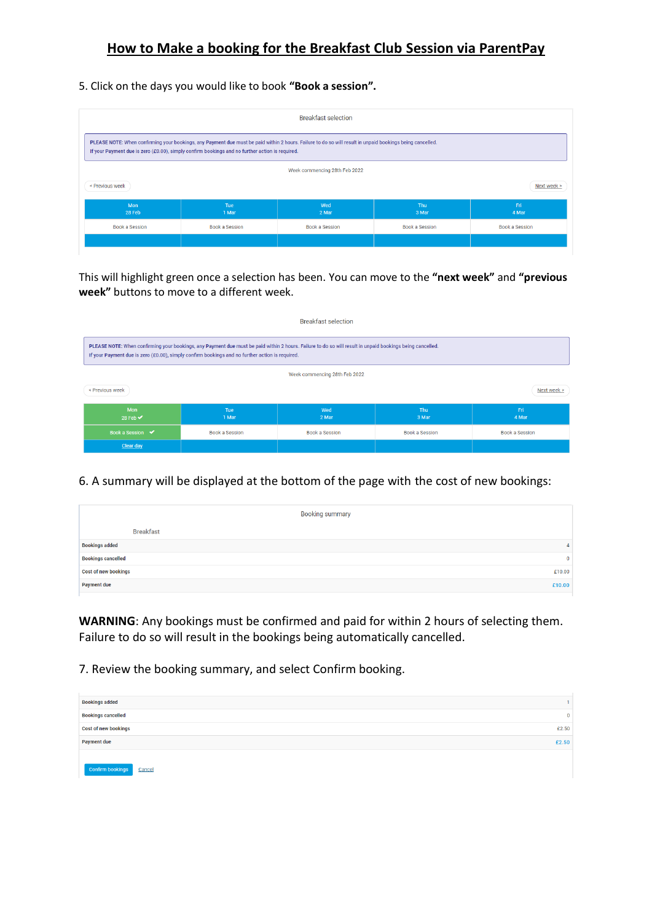# **How to Make a booking for the Breakfast Club Session via ParentPay**

#### 5. Click on the days you would like to book **"Book a session".**

| <b>Breakfast selection</b>                                                                                                                                                                                                                                   |                |                |                |              |  |
|--------------------------------------------------------------------------------------------------------------------------------------------------------------------------------------------------------------------------------------------------------------|----------------|----------------|----------------|--------------|--|
| PLEASE NOTE: When confirming your bookings, any Payment due must be paid within 2 hours. Failure to do so will result in unpaid bookings being cancelled.<br>If your Payment due is zero (£0.00), simply confirm bookings and no further action is required. |                |                |                |              |  |
| Week commencing 28th Feb 2022                                                                                                                                                                                                                                |                |                |                |              |  |
| < Previous week<br>Next week >                                                                                                                                                                                                                               |                |                |                |              |  |
| Mon<br>28 Feb                                                                                                                                                                                                                                                | Tue<br>1 Mar   | Wed<br>2 Mar   | Thu<br>3 Mar   | Fri<br>4 Mar |  |
| Book a Session                                                                                                                                                                                                                                               | Book a Session | Book a Session | Book a Session |              |  |
|                                                                                                                                                                                                                                                              |                |                |                |              |  |

This will highlight green once a selection has been. You can move to the **"next week"** and **"previous week"** buttons to move to a different week.

| <b>Breakfast selection</b>                                                                                                                                                                                                                                   |                       |                |                |                       |  |  |
|--------------------------------------------------------------------------------------------------------------------------------------------------------------------------------------------------------------------------------------------------------------|-----------------------|----------------|----------------|-----------------------|--|--|
| PLEASE NOTE: When confirming your bookings, any Payment due must be paid within 2 hours. Failure to do so will result in unpaid bookings being cancelled.<br>If your Payment due is zero (£0.00), simply confirm bookings and no further action is required. |                       |                |                |                       |  |  |
| Week commencing 28th Feb 2022                                                                                                                                                                                                                                |                       |                |                |                       |  |  |
| < Previous week<br>Next week >                                                                                                                                                                                                                               |                       |                |                |                       |  |  |
| Mon<br>28 Feb $\blacktriangledown$                                                                                                                                                                                                                           | <b>Tue</b><br>1 Mar   | Wed<br>2 Mar   | Thu<br>3 Mar   | Fri.<br>4 Mar         |  |  |
| Book a Session $\sqrt{\phantom{a}}$                                                                                                                                                                                                                          | <b>Book a Session</b> | Book a Session | Book a Session | <b>Book a Session</b> |  |  |
| Clear day                                                                                                                                                                                                                                                    |                       |                |                |                       |  |  |

6. A summary will be displayed at the bottom of the page with the cost of new bookings:

|                             | <b>Booking summary</b> |
|-----------------------------|------------------------|
| <b>Breakfast</b>            |                        |
| <b>Bookings added</b>       | $\mathbf{A}$           |
| <b>Bookings cancelled</b>   | $\overline{0}$         |
| <b>Cost of new bookings</b> | £10.00                 |
| <b>Payment due</b>          | £10.00                 |

**WARNING**: Any bookings must be confirmed and paid for within 2 hours of selecting them. Failure to do so will result in the bookings being automatically cancelled.

7. Review the booking summary, and select Confirm booking.

| <b>Bookings added</b>       |              |
|-----------------------------|--------------|
| <b>Bookings cancelled</b>   | $\mathbf{0}$ |
| <b>Cost of new bookings</b> | £2.50        |
| <b>Payment due</b>          | £2.50        |
| Confirm bookings<br>Cancel  |              |